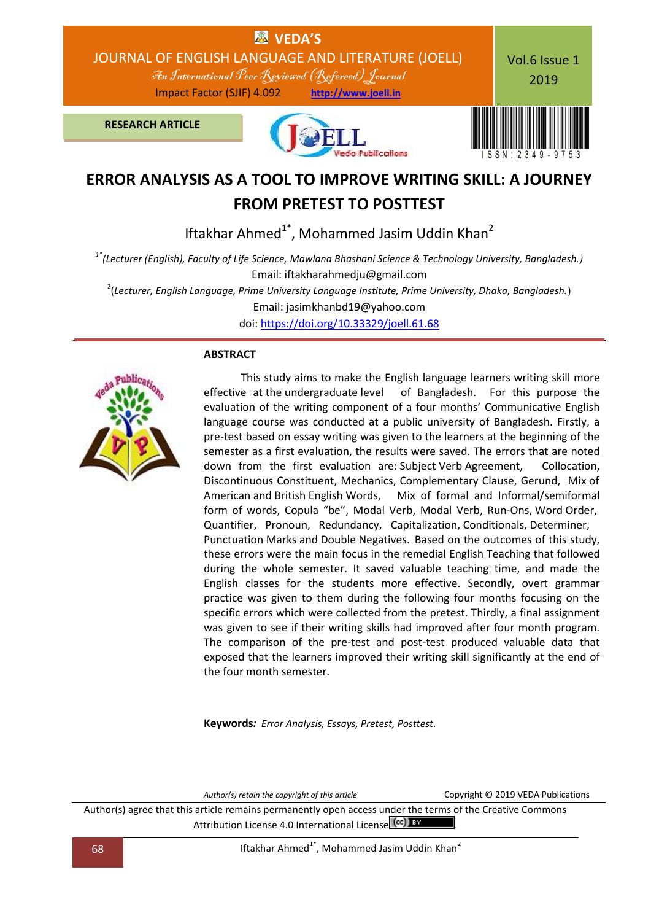

# **ERROR ANALYSIS AS A TOOL TO IMPROVE WRITING SKILL: A JOURNEY FROM PRETEST TO POSTTEST**

Iftakhar Ahmed<sup>1\*</sup>, Mohammed Jasim Uddin Khan<sup>2</sup>

*1\*(Lecturer (English), Faculty of Life Science, Mawlana Bhashani Science & Technology University, Bangladesh.)* Email: iftakharahmedju@gmail.com

2 (*Lecturer, English Language, Prime University Language Institute, Prime University, Dhaka, Bangladesh.*)

Email: jasimkhanbd19@yahoo.com

doi: [https://doi.org/10.33329/joell.61.68](http://joell.in/2019/02/05/doi-https-doi-org-10-33329-joell-61-68/)

### **ABSTRACT**



 This study aims to make the English language learners writing skill more effective at the undergraduate level of Bangladesh. For this purpose the evaluation of the writing component of a four months' Communicative English language course was conducted at a public university of Bangladesh. Firstly, a pre-test based on essay writing was given to the learners at the beginning of the semester as a first evaluation, the results were saved. The errors that are noted down from the first evaluation are: Subject Verb Agreement, Collocation, Discontinuous Constituent, Mechanics, Complementary Clause, Gerund, Mix of American and British English Words, Mix of formal and Informal/semiformal form of words, Copula "be", Modal Verb, Modal Verb, Run-Ons, Word Order, Quantifier, Pronoun, Redundancy, Capitalization, Conditionals, Determiner, Punctuation Marks and Double Negatives. Based on the outcomes of this study, these errors were the main focus in the remedial English Teaching that followed during the whole semester. It saved valuable teaching time, and made the English classes for the students more effective. Secondly, overt grammar practice was given to them during the following four months focusing on the specific errors which were collected from the pretest. Thirdly, a final assignment was given to see if their writing skills had improved after four month program. The comparison of the pre-test and post-test produced valuable data that exposed that the learners improved their writing skill significantly at the end of the four month semester.

**Keywords***: Error Analysis, Essays, Pretest, Posttest.*

*Author(s) retain the copyright of this article* Copyright © 2019 VEDA Publications Author(s) agree that this article remains permanently open access under the terms of the Creative Commons Attribution License 4.0 International License  $\left(\text{cc}\right)$  BY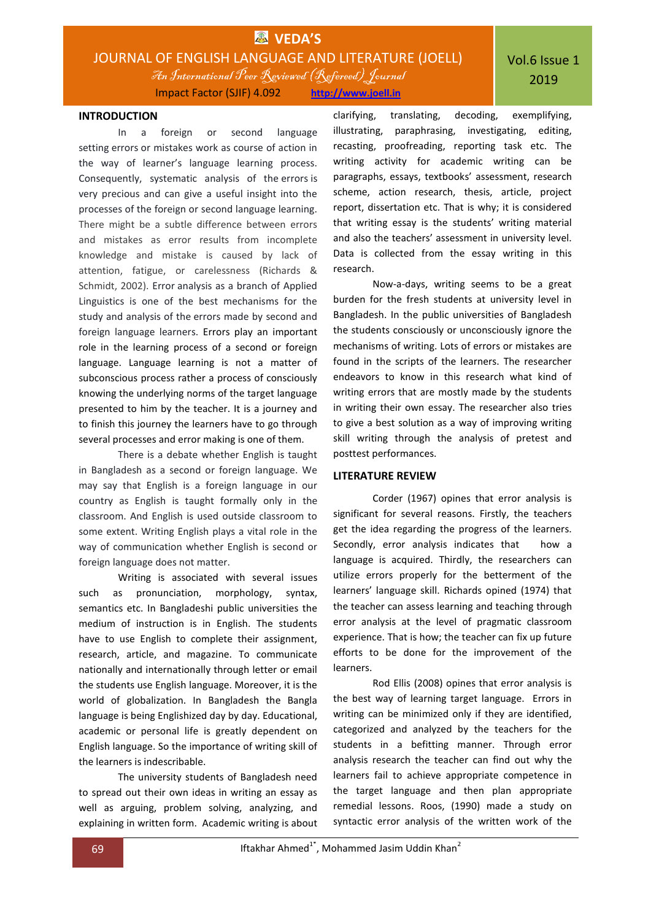

### **INTRODUCTION**

In a foreign or second language setting errors or mistakes work as course of action in the way of learner's language learning process. Consequently, systematic analysis of the errors is very precious and can give a useful insight into the processes of the foreign or second language learning. There might be a subtle difference between errors and mistakes as error results from incomplete knowledge and mistake is caused by lack of attention, fatigue, or carelessness (Richards & Schmidt, 2002). Error analysis as a branch of Applied Linguistics is one of the best mechanisms for the study and analysis of the errors made by second and foreign language learners. Errors play an important role in the learning process of a second or foreign language. Language learning is not a matter of subconscious process rather a process of consciously knowing the underlying norms of the target language presented to him by the teacher. It is a journey and to finish this journey the learners have to go through several processes and error making is one of them.

There is a debate whether English is taught in Bangladesh as a second or foreign language. We may say that English is a foreign language in our country as English is taught formally only in the classroom. And English is used outside classroom to some extent. Writing English plays a vital role in the way of communication whether English is second or foreign language does not matter.

Writing is associated with several issues such as pronunciation, morphology, syntax, semantics etc. In Bangladeshi public universities the medium of instruction is in English. The students have to use English to complete their assignment, research, article, and magazine. To communicate nationally and internationally through letter or email the students use English language. Moreover, it is the world of globalization. In Bangladesh the Bangla language is being Englishized day by day. Educational, academic or personal life is greatly dependent on English language. So the importance of writing skill of the learners is indescribable.

The university students of Bangladesh need to spread out their own ideas in writing an essay as well as arguing, problem solving, analyzing, and explaining in written form. Academic writing is about

clarifying, translating, decoding, exemplifying, illustrating, paraphrasing, investigating, editing, recasting, proofreading, reporting task etc. The writing activity for academic writing can be paragraphs, essays, textbooks' assessment, research scheme, action research, thesis, article, project report, dissertation etc. That is why; it is considered that writing essay is the students' writing material and also the teachers' assessment in university level. Data is collected from the essay writing in this research.

Now-a-days, writing seems to be a great burden for the fresh students at university level in Bangladesh. In the public universities of Bangladesh the students consciously or unconsciously ignore the mechanisms of writing. Lots of errors or mistakes are found in the scripts of the learners. The researcher endeavors to know in this research what kind of writing errors that are mostly made by the students in writing their own essay. The researcher also tries to give a best solution as a way of improving writing skill writing through the analysis of pretest and posttest performances.

### **LITERATURE REVIEW**

Corder (1967) opines that error analysis is significant for several reasons. Firstly, the teachers get the idea regarding the progress of the learners. Secondly, error analysis indicates that how a language is acquired. Thirdly, the researchers can utilize errors properly for the betterment of the learners' language skill. Richards opined (1974) that the teacher can assess learning and teaching through error analysis at the level of pragmatic classroom experience. That is how; the teacher can fix up future efforts to be done for the improvement of the learners.

Rod Ellis (2008) opines that error analysis is the best way of learning target language. Errors in writing can be minimized only if they are identified, categorized and analyzed by the teachers for the students in a befitting manner. Through error analysis research the teacher can find out why the learners fail to achieve appropriate competence in the target language and then plan appropriate remedial lessons. Roos, (1990) made a study on syntactic error analysis of the written work of the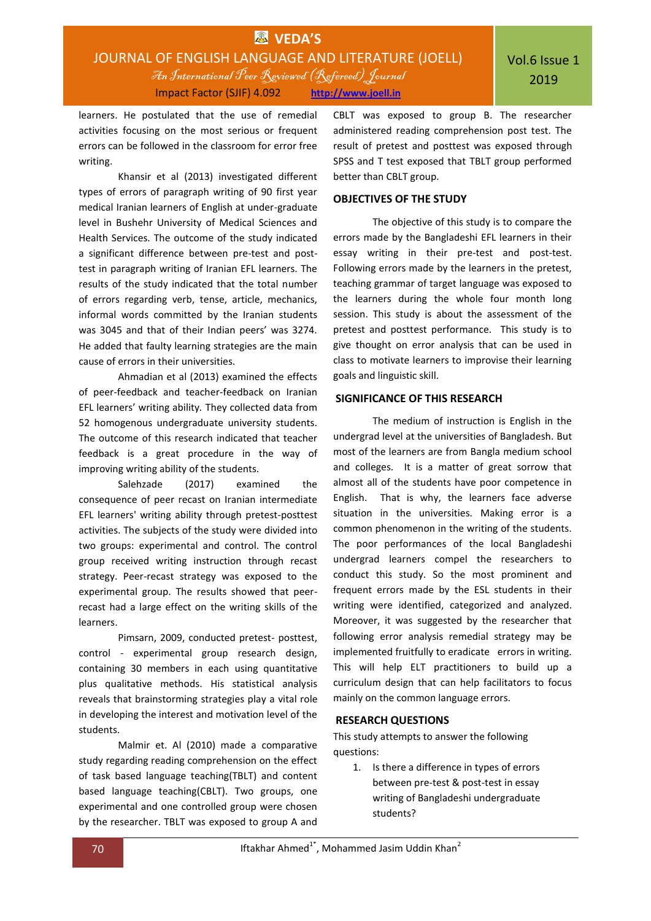learners. He postulated that the use of remedial activities focusing on the most serious or frequent errors can be followed in the classroom for error free writing.

Khansir et al (2013) investigated different types of errors of paragraph writing of 90 first year medical Iranian learners of English at under-graduate level in Bushehr University of Medical Sciences and Health Services. The outcome of the study indicated a significant difference between pre-test and posttest in paragraph writing of Iranian EFL learners. The results of the study indicated that the total number of errors regarding verb, tense, article, mechanics, informal words committed by the Iranian students was 3045 and that of their Indian peers' was 3274. He added that faulty learning strategies are the main cause of errors in their universities.

Ahmadian et al (2013) examined the effects of peer-feedback and teacher-feedback on Iranian EFL learners' writing ability*.* They collected data from 52 homogenous undergraduate university students. The outcome of this research indicated that teacher feedback is a great procedure in the way of improving writing ability of the students.

Salehzade (2017) examined the consequence of peer recast on Iranian intermediate EFL learners' writing ability through pretest-posttest activities. The subjects of the study were divided into two groups: experimental and control. The control group received writing instruction through recast strategy. Peer-recast strategy was exposed to the experimental group. The results showed that peerrecast had a large effect on the writing skills of the learners.

Pimsarn, 2009, conducted pretest- posttest, control - experimental group research design, containing 30 members in each using quantitative plus qualitative methods. His statistical analysis reveals that brainstorming strategies play a vital role in developing the interest and motivation level of the students.

Malmir et. Al (2010) made a comparative study regarding reading comprehension on the effect of task based language teaching(TBLT) and content based language teaching(CBLT). Two groups, one experimental and one controlled group were chosen by the researcher. TBLT was exposed to group A and

CBLT was exposed to group B. The researcher administered reading comprehension post test. The result of pretest and posttest was exposed through SPSS and T test exposed that TBLT group performed better than CBLT group.

### **OBJECTIVES OF THE STUDY**

The objective of this study is to compare the errors made by the Bangladeshi EFL learners in their essay writing in their pre-test and post-test. Following errors made by the learners in the pretest, teaching grammar of target language was exposed to the learners during the whole four month long session. This study is about the assessment of the pretest and posttest performance. This study is to give thought on error analysis that can be used in class to motivate learners to improvise their learning goals and linguistic skill.

### **SIGNIFICANCE OF THIS RESEARCH**

The medium of instruction is English in the undergrad level at the universities of Bangladesh. But most of the learners are from Bangla medium school and colleges. It is a matter of great sorrow that almost all of the students have poor competence in English. That is why, the learners face adverse situation in the universities. Making error is a common phenomenon in the writing of the students. The poor performances of the local Bangladeshi undergrad learners compel the researchers to conduct this study. So the most prominent and frequent errors made by the ESL students in their writing were identified, categorized and analyzed. Moreover, it was suggested by the researcher that following error analysis remedial strategy may be implemented fruitfully to eradicate errors in writing. This will help ELT practitioners to build up a curriculum design that can help facilitators to focus mainly on the common language errors.

### **RESEARCH QUESTIONS**

This study attempts to answer the following questions:

1. Is there a difference in types of errors between pre-test & post-test in essay writing of Bangladeshi undergraduate students?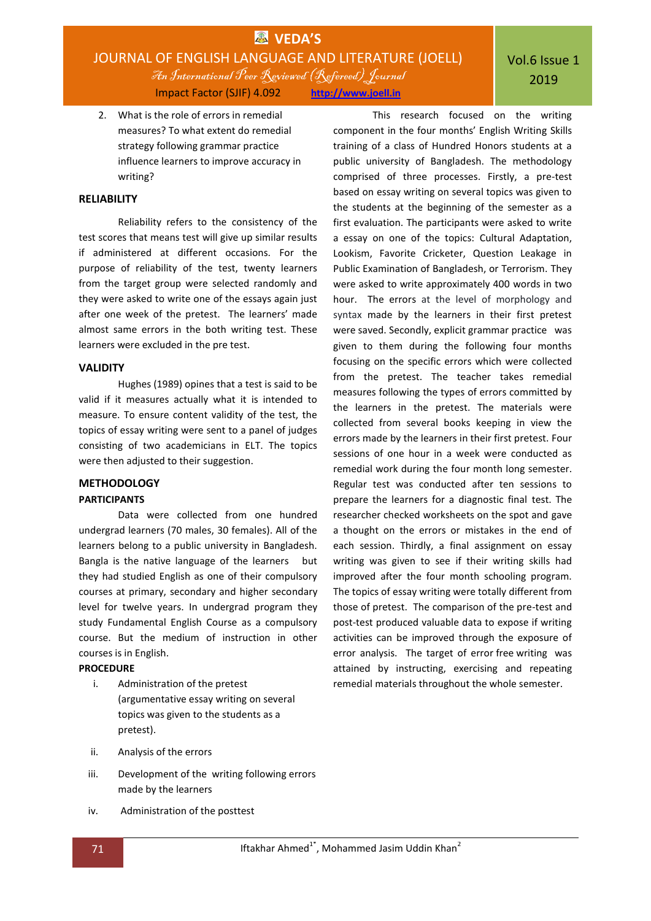# **VEDA'S** JOURNAL OF ENGLISH LANGUAGE AND LITERATURE (JOELL)

An International Peer Reviewed (Refereed)Journal Impact Factor (SJIF) 4.092 **http://www.joell.in**

## Vol.6 Issue 1 2019

2. What is the role of errors in remedial measures? To what extent do remedial strategy following grammar practice influence learners to improve accuracy in writing?

### **RELIABILITY**

Reliability refers to the consistency of the test scores that means test will give up similar results if administered at different occasions. For the purpose of reliability of the test, twenty learners from the target group were selected randomly and they were asked to write one of the essays again just after one week of the pretest. The learners' made almost same errors in the both writing test. These learners were excluded in the pre test.

### **VALIDITY**

Hughes (1989) opines that a test is said to be valid if it measures actually what it is intended to measure. To ensure content validity of the test, the topics of essay writing were sent to a panel of judges consisting of two academicians in ELT. The topics were then adjusted to their suggestion.

### **METHODOLOGY**

### **PARTICIPANTS**

Data were collected from one hundred undergrad learners (70 males, 30 females). All of the learners belong to a public university in Bangladesh. Bangla is the native language of the learners but they had studied English as one of their compulsory courses at primary, secondary and higher secondary level for twelve years. In undergrad program they study Fundamental English Course as a compulsory course. But the medium of instruction in other courses is in English.

### **PROCEDURE**

- i. Administration of the pretest (argumentative essay writing on several topics was given to the students as a pretest).
- ii. Analysis of the errors
- iii. Development of the writing following errors made by the learners
- iv. Administration of the posttest

This research focused on the writing component in the four months' English Writing Skills training of a class of Hundred Honors students at a public university of Bangladesh. The methodology comprised of three processes. Firstly, a pre-test based on essay writing on several topics was given to the students at the beginning of the semester as a first evaluation. The participants were asked to write a essay on one of the topics: Cultural Adaptation, Lookism, Favorite Cricketer, Question Leakage in Public Examination of Bangladesh, or Terrorism. They were asked to write approximately 400 words in two hour. The errors at the level of morphology and syntax made by the learners in their first pretest were saved. Secondly, explicit grammar practice was given to them during the following four months focusing on the specific errors which were collected from the pretest. The teacher takes remedial measures following the types of errors committed by the learners in the pretest. The materials were collected from several books keeping in view the errors made by the learners in their first pretest. Four sessions of one hour in a week were conducted as remedial work during the four month long semester. Regular test was conducted after ten sessions to prepare the learners for a diagnostic final test. The researcher checked worksheets on the spot and gave a thought on the errors or mistakes in the end of each session. Thirdly, a final assignment on essay writing was given to see if their writing skills had improved after the four month schooling program. The topics of essay writing were totally different from those of pretest. The comparison of the pre-test and post-test produced valuable data to expose if writing activities can be improved through the exposure of error analysis. The target of error free writing was attained by instructing, exercising and repeating remedial materials throughout the whole semester.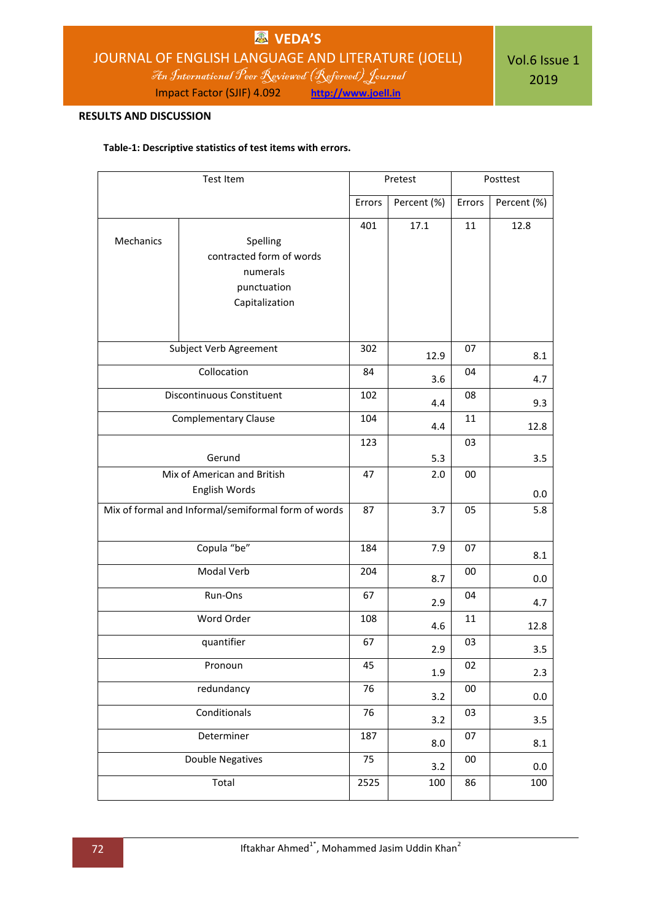# **VEDA'S** JOURNAL OF ENGLISH LANGUAGE AND LITERATURE (JOELL)

An International Peer Reviewed (Refereed)Journal

Impact Factor (SJIF) 4.092 **http://www.joell.in**

### **RESULTS AND DISCUSSION**

### **Table-1: Descriptive statistics of test items with errors.**

| Test Item                                           |                                                                                   | Pretest |             | Posttest |             |  |
|-----------------------------------------------------|-----------------------------------------------------------------------------------|---------|-------------|----------|-------------|--|
|                                                     |                                                                                   | Errors  | Percent (%) | Errors   | Percent (%) |  |
| Mechanics                                           | Spelling<br>contracted form of words<br>numerals<br>punctuation<br>Capitalization | 401     | 17.1        | 11       | 12.8        |  |
| Subject Verb Agreement                              |                                                                                   |         | 12.9        | 07       | 8.1         |  |
| Collocation                                         |                                                                                   |         | 3.6         | 04       | 4.7         |  |
| <b>Discontinuous Constituent</b>                    |                                                                                   |         | 4.4         | 08       | 9.3         |  |
| <b>Complementary Clause</b>                         |                                                                                   |         | 4.4         | 11       | 12.8        |  |
| Gerund                                              |                                                                                   |         | 5.3         | 03       | 3.5         |  |
| Mix of American and British                         | 47                                                                                | 2.0     | 00          | 0.0      |             |  |
| Mix of formal and Informal/semiformal form of words |                                                                                   | 87      | 3.7         | 05       | 5.8         |  |
| Copula "be"                                         |                                                                                   |         | 7.9         | 07       | 8.1         |  |
| Modal Verb                                          |                                                                                   |         | 8.7         | 00       | 0.0         |  |
| Run-Ons                                             |                                                                                   |         | 2.9         | 04       | 4.7         |  |
| Word Order                                          |                                                                                   |         | 4.6         | 11       | 12.8        |  |
| quantifier                                          |                                                                                   |         | 2.9         | 03       | 3.5         |  |
| Pronoun                                             |                                                                                   |         | 1.9         | 02       | 2.3         |  |
| redundancy                                          |                                                                                   |         | 3.2         | 00       | 0.0         |  |
| Conditionals                                        |                                                                                   |         | 3.2         | 03       | 3.5         |  |
| Determiner                                          |                                                                                   |         | 8.0         | 07       | 8.1         |  |
| <b>Double Negatives</b>                             |                                                                                   |         | 3.2         | $00\,$   | 0.0         |  |
| Total                                               |                                                                                   |         | 100         | 86       | 100         |  |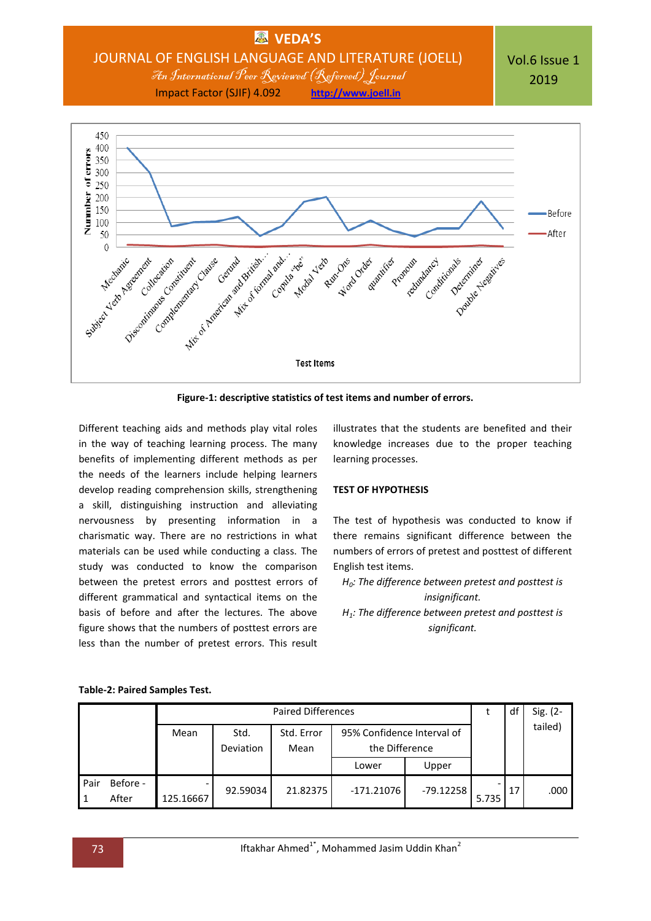

**Figure-1: descriptive statistics of test items and number of errors.**

Different teaching aids and methods play vital roles in the way of teaching learning process. The many benefits of implementing different methods as per the needs of the learners include helping learners develop reading comprehension skills, strengthening a skill, distinguishing instruction and alleviating nervousness by presenting information in a charismatic way. There are no restrictions in what materials can be used while conducting a class. The study was conducted to know the comparison between the pretest errors and posttest errors of different grammatical and syntactical items on the basis of before and after the lectures. The above figure shows that the numbers of posttest errors are less than the number of pretest errors. This result

illustrates that the students are benefited and their knowledge increases due to the proper teaching learning processes.

### **TEST OF HYPOTHESIS**

The test of hypothesis was conducted to know if there remains significant difference between the numbers of errors of pretest and posttest of different English test items.

- *H0: The difference between pretest and posttest is insignificant.*
- *H1: The difference between pretest and posttest is significant.*

|      |                   | <b>Paired Differences</b> |                   |                    |                                              |           | df    | Sig. (2- |         |
|------|-------------------|---------------------------|-------------------|--------------------|----------------------------------------------|-----------|-------|----------|---------|
|      |                   | Mean                      | Std.<br>Deviation | Std. Error<br>Mean | 95% Confidence Interval of<br>the Difference |           |       |          | tailed) |
|      |                   |                           |                   |                    | Lower                                        | Upper     |       |          |         |
| Pair | Before -<br>After | 125.16667                 | 92.59034          | 21.82375           | $-171.21076$                                 | -79.12258 | 5.735 | 17       | .000    |